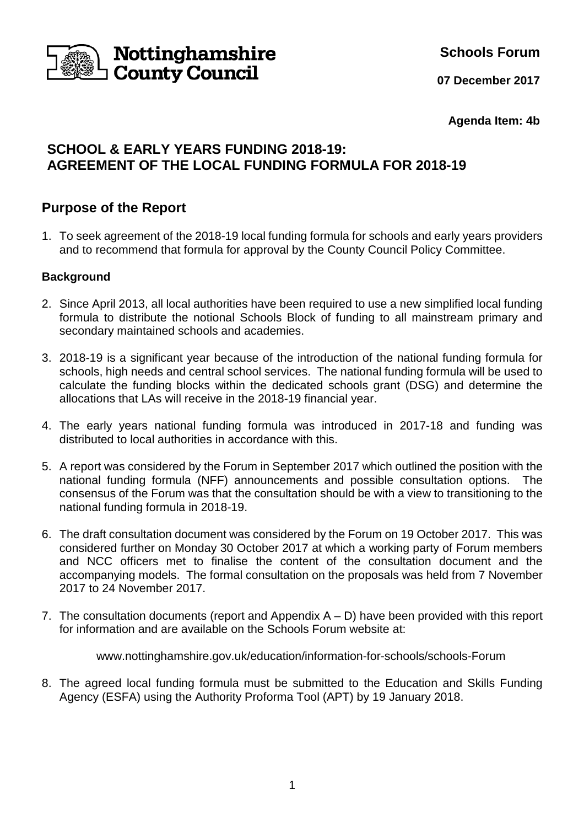

**Schools Forum**

**07 December 2017**

**Agenda Item: 4b**

# **SCHOOL & EARLY YEARS FUNDING 2018-19: AGREEMENT OF THE LOCAL FUNDING FORMULA FOR 2018-19**

## **Purpose of the Report**

1. To seek agreement of the 2018-19 local funding formula for schools and early years providers and to recommend that formula for approval by the County Council Policy Committee.

### **Background**

- 2. Since April 2013, all local authorities have been required to use a new simplified local funding formula to distribute the notional Schools Block of funding to all mainstream primary and secondary maintained schools and academies.
- 3. 2018-19 is a significant year because of the introduction of the national funding formula for schools, high needs and central school services. The national funding formula will be used to calculate the funding blocks within the dedicated schools grant (DSG) and determine the allocations that LAs will receive in the 2018-19 financial year.
- 4. The early years national funding formula was introduced in 2017-18 and funding was distributed to local authorities in accordance with this.
- 5. A report was considered by the Forum in September 2017 which outlined the position with the national funding formula (NFF) announcements and possible consultation options. The consensus of the Forum was that the consultation should be with a view to transitioning to the national funding formula in 2018-19.
- 6. The draft consultation document was considered by the Forum on 19 October 2017. This was considered further on Monday 30 October 2017 at which a working party of Forum members and NCC officers met to finalise the content of the consultation document and the accompanying models. The formal consultation on the proposals was held from 7 November 2017 to 24 November 2017.
- 7. The consultation documents (report and Appendix  $A D$ ) have been provided with this report for information and are available on the Schools Forum website at:

www.nottinghamshire.gov.uk/education/information-for-schools/schools-Forum

8. The agreed local funding formula must be submitted to the Education and Skills Funding Agency (ESFA) using the Authority Proforma Tool (APT) by 19 January 2018.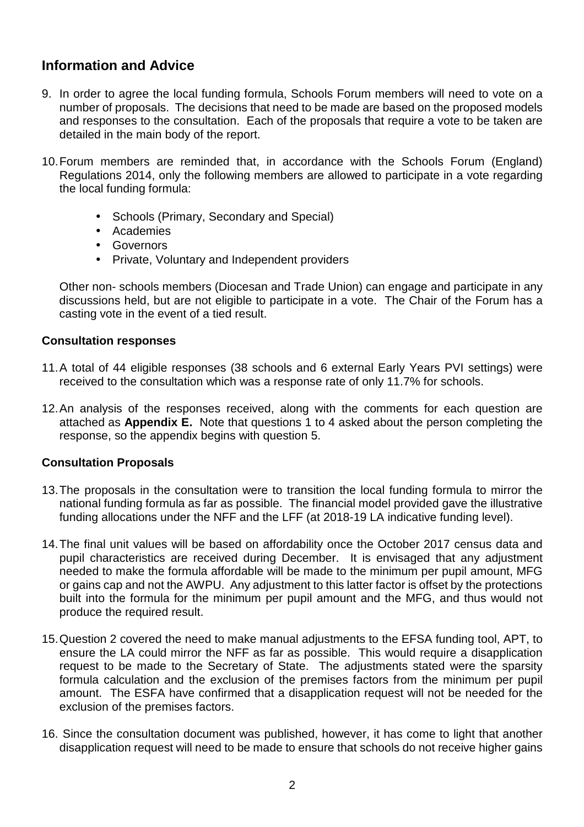## **Information and Advice**

- 9. In order to agree the local funding formula, Schools Forum members will need to vote on a number of proposals. The decisions that need to be made are based on the proposed models and responses to the consultation. Each of the proposals that require a vote to be taken are detailed in the main body of the report.
- 10. Forum members are reminded that, in accordance with the Schools Forum (England) Regulations 2014, only the following members are allowed to participate in a vote regarding the local funding formula:
	- Schools (Primary, Secondary and Special)
	- Academies
	- Governors
	- Private, Voluntary and Independent providers

 Other non- schools members (Diocesan and Trade Union) can engage and participate in any discussions held, but are not eligible to participate in a vote. The Chair of the Forum has a casting vote in the event of a tied result.

#### **Consultation responses**

- 11. A total of 44 eligible responses (38 schools and 6 external Early Years PVI settings) were received to the consultation which was a response rate of only 11.7% for schools.
- 12. An analysis of the responses received, along with the comments for each question are attached as **Appendix E.** Note that questions 1 to 4 asked about the person completing the response, so the appendix begins with question 5.

#### **Consultation Proposals**

- 13. The proposals in the consultation were to transition the local funding formula to mirror the national funding formula as far as possible. The financial model provided gave the illustrative funding allocations under the NFF and the LFF (at 2018-19 LA indicative funding level).
- 14. The final unit values will be based on affordability once the October 2017 census data and pupil characteristics are received during December. It is envisaged that any adjustment needed to make the formula affordable will be made to the minimum per pupil amount, MFG or gains cap and not the AWPU. Any adjustment to this latter factor is offset by the protections built into the formula for the minimum per pupil amount and the MFG, and thus would not produce the required result.
- 15. Question 2 covered the need to make manual adjustments to the EFSA funding tool, APT, to ensure the LA could mirror the NFF as far as possible. This would require a disapplication request to be made to the Secretary of State. The adjustments stated were the sparsity formula calculation and the exclusion of the premises factors from the minimum per pupil amount. The ESFA have confirmed that a disapplication request will not be needed for the exclusion of the premises factors.
- 16. Since the consultation document was published, however, it has come to light that another disapplication request will need to be made to ensure that schools do not receive higher gains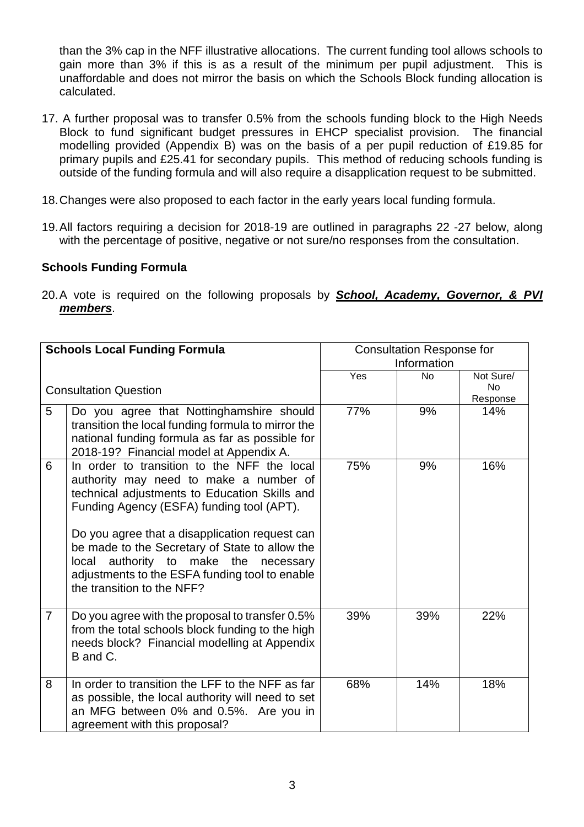than the 3% cap in the NFF illustrative allocations. The current funding tool allows schools to gain more than 3% if this is as a result of the minimum per pupil adjustment. This is unaffordable and does not mirror the basis on which the Schools Block funding allocation is calculated.

- 17. A further proposal was to transfer 0.5% from the schools funding block to the High Needs Block to fund significant budget pressures in EHCP specialist provision. The financial modelling provided (Appendix B) was on the basis of a per pupil reduction of £19.85 for primary pupils and £25.41 for secondary pupils. This method of reducing schools funding is outside of the funding formula and will also require a disapplication request to be submitted.
- 18. Changes were also proposed to each factor in the early years local funding formula.
- 19. All factors requiring a decision for 2018-19 are outlined in paragraphs 22 -27 below, along with the percentage of positive, negative or not sure/no responses from the consultation.

#### **Schools Funding Formula**

20. A vote is required on the following proposals by **School, Academy, Governor, & PVI members**.

| <b>Schools Local Funding Formula</b> |                                                                                                                                                                                                                                    | <b>Consultation Response for</b><br>Information |           |                                    |
|--------------------------------------|------------------------------------------------------------------------------------------------------------------------------------------------------------------------------------------------------------------------------------|-------------------------------------------------|-----------|------------------------------------|
|                                      | <b>Consultation Question</b>                                                                                                                                                                                                       | Yes                                             | <b>No</b> | Not Sure/<br><b>No</b><br>Response |
| 5                                    | Do you agree that Nottinghamshire should<br>transition the local funding formula to mirror the<br>national funding formula as far as possible for<br>2018-19? Financial model at Appendix A.                                       | 77%                                             | 9%        | 14%                                |
| 6                                    | In order to transition to the NFF the local<br>authority may need to make a number of<br>technical adjustments to Education Skills and<br>Funding Agency (ESFA) funding tool (APT).                                                | 75%                                             | 9%        | 16%                                |
|                                      | Do you agree that a disapplication request can<br>be made to the Secretary of State to allow the<br>authority to<br>make the<br>local<br>necessary<br>adjustments to the ESFA funding tool to enable<br>the transition to the NFF? |                                                 |           |                                    |
| $\overline{7}$                       | Do you agree with the proposal to transfer 0.5%<br>from the total schools block funding to the high<br>needs block? Financial modelling at Appendix<br>B and C.                                                                    | 39%                                             | 39%       | 22%                                |
| 8                                    | In order to transition the LFF to the NFF as far<br>as possible, the local authority will need to set<br>an MFG between 0% and 0.5%. Are you in<br>agreement with this proposal?                                                   | 68%                                             | 14%       | 18%                                |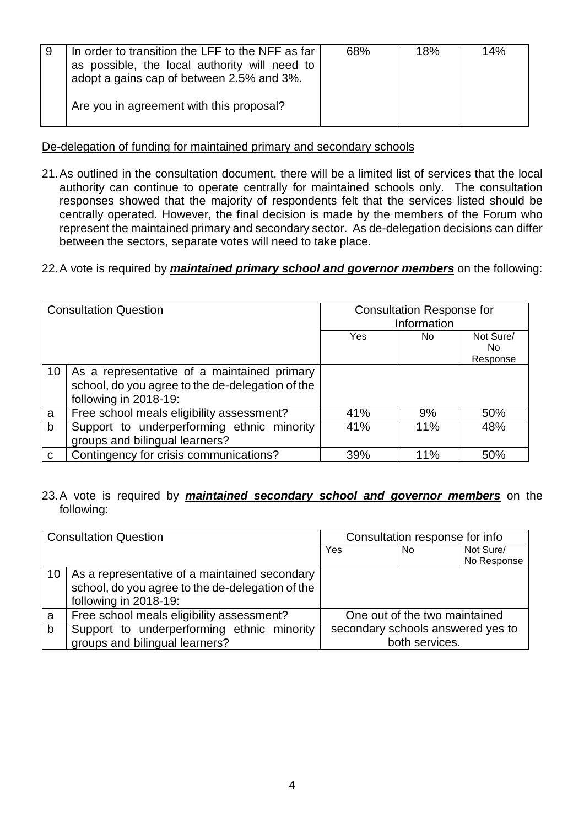| 9 | In order to transition the LFF to the NFF as far<br>as possible, the local authority will need to<br>adopt a gains cap of between 2.5% and 3%. | 68% | 18% | 14% |
|---|------------------------------------------------------------------------------------------------------------------------------------------------|-----|-----|-----|
|   | Are you in agreement with this proposal?                                                                                                       |     |     |     |

De-delegation of funding for maintained primary and secondary schools

21. As outlined in the consultation document, there will be a limited list of services that the local authority can continue to operate centrally for maintained schools only. The consultation responses showed that the majority of respondents felt that the services listed should be centrally operated. However, the final decision is made by the members of the Forum who represent the maintained primary and secondary sector. As de-delegation decisions can differ between the sectors, separate votes will need to take place.

#### 22. A vote is required by **maintained primary school and governor members** on the following:

| <b>Consultation Question</b> |                                                                                                                          | <b>Consultation Response for</b><br>Information |     |                              |
|------------------------------|--------------------------------------------------------------------------------------------------------------------------|-------------------------------------------------|-----|------------------------------|
|                              |                                                                                                                          | Yes                                             | No. | Not Sure/<br>No.<br>Response |
| 10                           | As a representative of a maintained primary<br>school, do you agree to the de-delegation of the<br>following in 2018-19: |                                                 |     |                              |
| a                            | Free school meals eligibility assessment?                                                                                | 41%                                             | 9%  | 50%                          |
| b                            | Support to underperforming ethnic minority<br>groups and bilingual learners?                                             | 41%                                             | 11% | 48%                          |
| $\mathbf C$                  | Contingency for crisis communications?                                                                                   | 39%                                             | 11% | 50%                          |

23. A vote is required by **maintained secondary school and governor members** on the following:

|              | <b>Consultation Question</b>                                                                                               | Consultation response for info                      |     |                          |
|--------------|----------------------------------------------------------------------------------------------------------------------------|-----------------------------------------------------|-----|--------------------------|
|              |                                                                                                                            | Yes                                                 | No. | Not Sure/<br>No Response |
| 10           | As a representative of a maintained secondary<br>school, do you agree to the de-delegation of the<br>following in 2018-19: |                                                     |     |                          |
| a            | Free school meals eligibility assessment?                                                                                  | One out of the two maintained                       |     |                          |
| $\mathsf{b}$ | Support to underperforming ethnic minority<br>groups and bilingual learners?                                               | secondary schools answered yes to<br>both services. |     |                          |